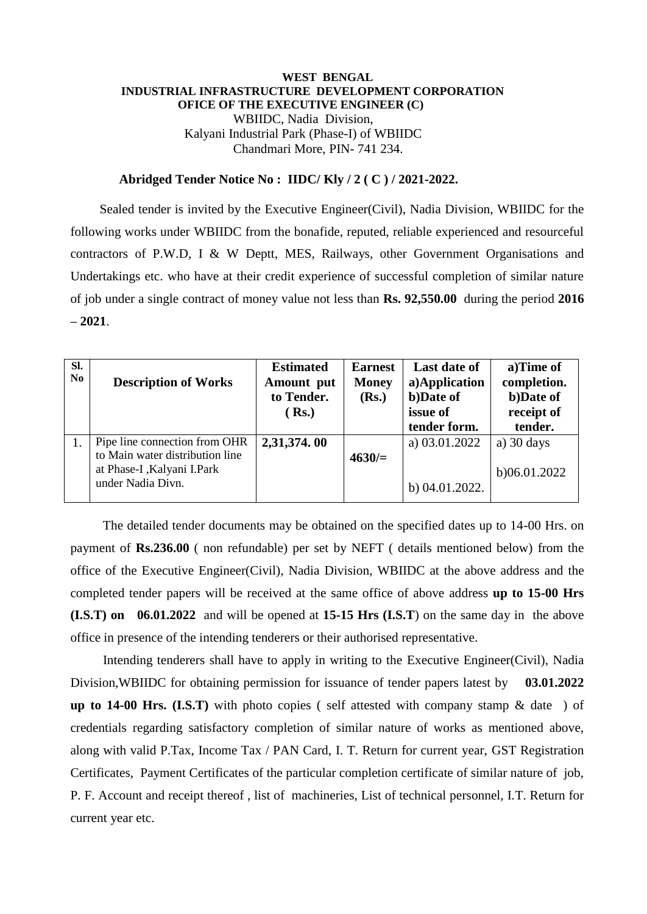## **WEST BENGAL INDUSTRIAL INFRASTRUCTURE DEVELOPMENT CORPORATION OFICE OF THE EXECUTIVE ENGINEER (C)** WBIIDC, Nadia Division, Kalyani Industrial Park (Phase-I) of WBIIDC Chandmari More, PIN- 741 234.

## **Abridged Tender Notice No : IIDC/ Kly / 2 ( C ) / 2021-2022.**

 Sealed tender is invited by the Executive Engineer(Civil), Nadia Division, WBIIDC for the following works under WBIIDC from the bonafide, reputed, reliable experienced and resourceful contractors of P.W.D, I & W Deptt, MES, Railways, other Government Organisations and Undertakings etc. who have at their credit experience of successful completion of similar nature of job under a single contract of money value not less than **Rs. 92,550.00** during the period **2016 – 2021**.

| SI.<br>$\bf No$ | <b>Description of Works</b>                                                                                          | <b>Estimated</b><br>Amount put<br>to Tender.<br>( <b>Rs.</b> ) | <b>Earnest</b><br><b>Money</b><br>(Rs.) | <b>Last date of</b><br>a)Application<br>b)Date of<br>issue of<br>tender form. | a)Time of<br>completion.<br>b)Date of<br>receipt of<br>tender. |
|-----------------|----------------------------------------------------------------------------------------------------------------------|----------------------------------------------------------------|-----------------------------------------|-------------------------------------------------------------------------------|----------------------------------------------------------------|
|                 | Pipe line connection from OHR<br>to Main water distribution line<br>at Phase-I, Kalyani I. Park<br>under Nadia Divn. | 2,31,374.00                                                    | $4630/=$                                | a) 03.01.2022<br>b) 04.01.2022.                                               | a) $30 \text{ days}$<br>b)06.01.2022                           |

 The detailed tender documents may be obtained on the specified dates up to 14-00 Hrs. on payment of **Rs.236.00** ( non refundable) per set by NEFT ( details mentioned below) from the office of the Executive Engineer(Civil), Nadia Division, WBIIDC at the above address and the completed tender papers will be received at the same office of above address **up to 15-00 Hrs (I.S.T) on 06.01.2022** and will be opened at **15-15 Hrs (I.S.T**) on the same day in the above office in presence of the intending tenderers or their authorised representative.

 Intending tenderers shall have to apply in writing to the Executive Engineer(Civil), Nadia Division,WBIIDC for obtaining permission for issuance of tender papers latest by **03.01.2022 up to 14-00 Hrs. (I.S.T)** with photo copies (self attested with company stamp  $\&$  date ) of credentials regarding satisfactory completion of similar nature of works as mentioned above, along with valid P.Tax, Income Tax / PAN Card, I. T. Return for current year, GST Registration Certificates, Payment Certificates of the particular completion certificate of similar nature of job, P. F. Account and receipt thereof , list of machineries, List of technical personnel, I.T. Return for current year etc.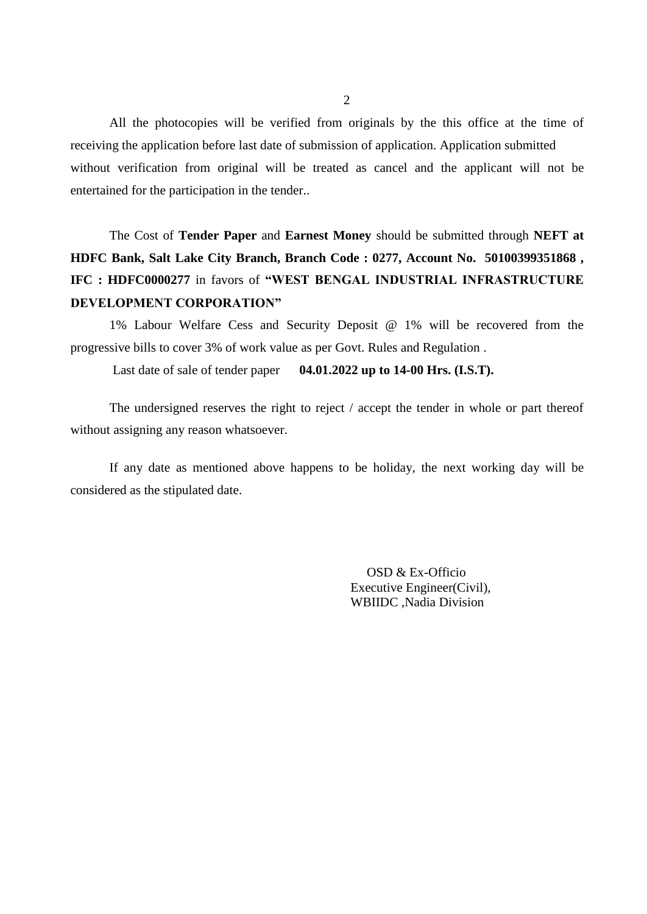All the photocopies will be verified from originals by the this office at the time of receiving the application before last date of submission of application. Application submitted without verification from original will be treated as cancel and the applicant will not be entertained for the participation in the tender..

The Cost of **Tender Paper** and **Earnest Money** should be submitted through **NEFT at HDFC Bank, Salt Lake City Branch, Branch Code : 0277, Account No. 50100399351868 , IFC : HDFC0000277** in favors of **"WEST BENGAL INDUSTRIAL INFRASTRUCTURE DEVELOPMENT CORPORATION"**

1% Labour Welfare Cess and Security Deposit @ 1% will be recovered from the progressive bills to cover 3% of work value as per Govt. Rules and Regulation .

Last date of sale of tender paper **04.01.2022 up to 14-00 Hrs. (I.S.T).**

The undersigned reserves the right to reject / accept the tender in whole or part thereof without assigning any reason whatsoever.

If any date as mentioned above happens to be holiday, the next working day will be considered as the stipulated date.

> OSD & Ex-Officio Executive Engineer(Civil), WBIIDC ,Nadia Division